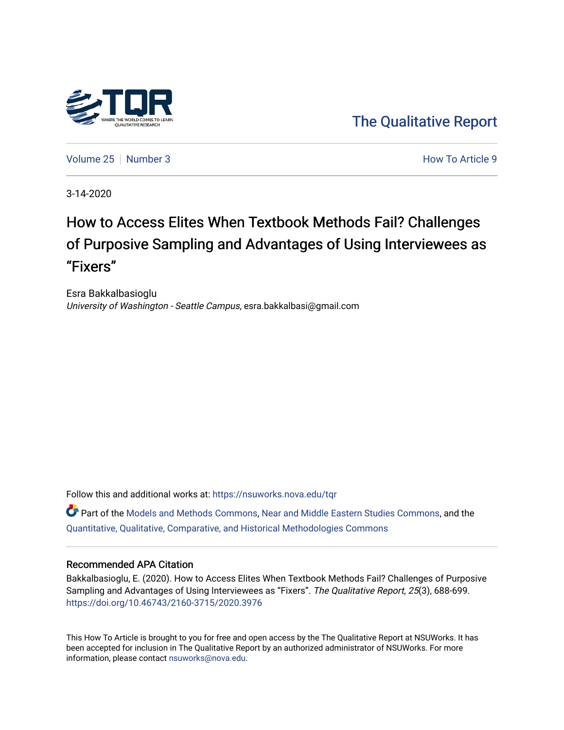

[The Qualitative Report](https://nsuworks.nova.edu/tqr) 

[Volume 25](https://nsuworks.nova.edu/tqr/vol25) [Number 3](https://nsuworks.nova.edu/tqr/vol25/iss3) **How To Article 9** Number 3

3-14-2020

# How to Access Elites When Textbook Methods Fail? Challenges of Purposive Sampling and Advantages of Using Interviewees as "Fixers"

Esra Bakkalbasioglu University of Washington - Seattle Campus, esra.bakkalbasi@gmail.com

Follow this and additional works at: [https://nsuworks.nova.edu/tqr](https://nsuworks.nova.edu/tqr?utm_source=nsuworks.nova.edu%2Ftqr%2Fvol25%2Fiss3%2F9&utm_medium=PDF&utm_campaign=PDFCoverPages) 

Part of the [Models and Methods Commons,](http://network.bepress.com/hgg/discipline/390?utm_source=nsuworks.nova.edu%2Ftqr%2Fvol25%2Fiss3%2F9&utm_medium=PDF&utm_campaign=PDFCoverPages) [Near and Middle Eastern Studies Commons,](http://network.bepress.com/hgg/discipline/1308?utm_source=nsuworks.nova.edu%2Ftqr%2Fvol25%2Fiss3%2F9&utm_medium=PDF&utm_campaign=PDFCoverPages) and the [Quantitative, Qualitative, Comparative, and Historical Methodologies Commons](http://network.bepress.com/hgg/discipline/423?utm_source=nsuworks.nova.edu%2Ftqr%2Fvol25%2Fiss3%2F9&utm_medium=PDF&utm_campaign=PDFCoverPages) 

#### Recommended APA Citation

Bakkalbasioglu, E. (2020). How to Access Elites When Textbook Methods Fail? Challenges of Purposive Sampling and Advantages of Using Interviewees as "Fixers". The Qualitative Report, 25(3), 688-699. <https://doi.org/10.46743/2160-3715/2020.3976>

This How To Article is brought to you for free and open access by the The Qualitative Report at NSUWorks. It has been accepted for inclusion in The Qualitative Report by an authorized administrator of NSUWorks. For more information, please contact [nsuworks@nova.edu.](mailto:nsuworks@nova.edu)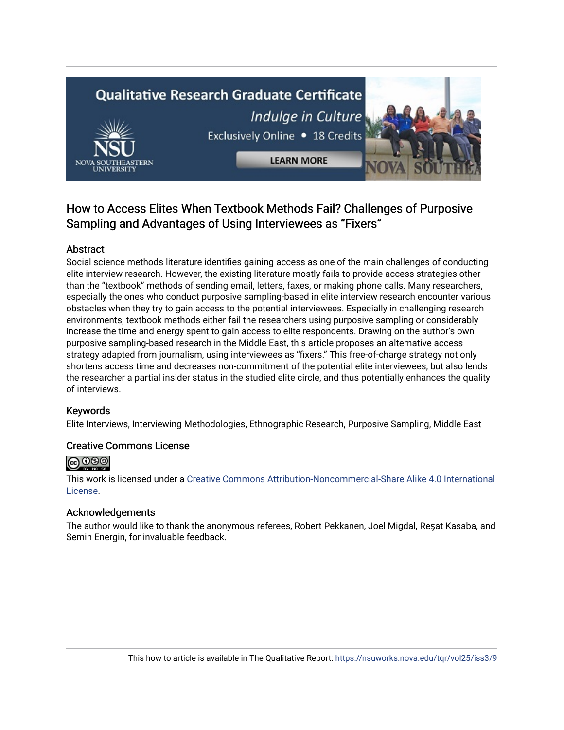# **Qualitative Research Graduate Certificate** Indulge in Culture Exclusively Online . 18 Credits **LEARN MORE**



# Abstract

Social science methods literature identifies gaining access as one of the main challenges of conducting elite interview research. However, the existing literature mostly fails to provide access strategies other than the "textbook" methods of sending email, letters, faxes, or making phone calls. Many researchers, especially the ones who conduct purposive sampling-based in elite interview research encounter various obstacles when they try to gain access to the potential interviewees. Especially in challenging research environments, textbook methods either fail the researchers using purposive sampling or considerably increase the time and energy spent to gain access to elite respondents. Drawing on the author's own purposive sampling-based research in the Middle East, this article proposes an alternative access strategy adapted from journalism, using interviewees as "fixers." This free-of-charge strategy not only shortens access time and decreases non-commitment of the potential elite interviewees, but also lends the researcher a partial insider status in the studied elite circle, and thus potentially enhances the quality of interviews.

# Keywords

Elite Interviews, Interviewing Methodologies, Ethnographic Research, Purposive Sampling, Middle East

# Creative Commons License



This work is licensed under a [Creative Commons Attribution-Noncommercial-Share Alike 4.0 International](https://creativecommons.org/licenses/by-nc-sa/4.0/)  [License](https://creativecommons.org/licenses/by-nc-sa/4.0/).

# Acknowledgements

The author would like to thank the anonymous referees, Robert Pekkanen, Joel Migdal, Reşat Kasaba, and Semih Energin, for invaluable feedback.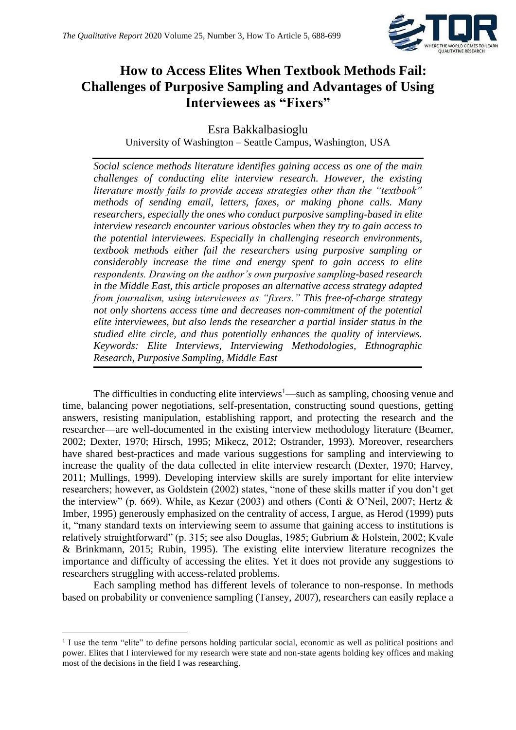

# **How to Access Elites When Textbook Methods Fail: Challenges of Purposive Sampling and Advantages of Using Interviewees as "Fixers"**

Esra Bakkalbasioglu University of Washington – Seattle Campus, Washington, USA

*Social science methods literature identifies gaining access as one of the main challenges of conducting elite interview research. However, the existing literature mostly fails to provide access strategies other than the "textbook" methods of sending email, letters, faxes, or making phone calls. Many researchers, especially the ones who conduct purposive sampling-based in elite interview research encounter various obstacles when they try to gain access to the potential interviewees. Especially in challenging research environments, textbook methods either fail the researchers using purposive sampling or considerably increase the time and energy spent to gain access to elite respondents. Drawing on the author's own purposive sampling-based research in the Middle East, this article proposes an alternative access strategy adapted from journalism, using interviewees as "fixers." This free-of-charge strategy not only shortens access time and decreases non-commitment of the potential elite interviewees, but also lends the researcher a partial insider status in the studied elite circle, and thus potentially enhances the quality of interviews. Keywords: Elite Interviews, Interviewing Methodologies, Ethnographic Research, Purposive Sampling, Middle East*

The difficulties in conducting elite interviews<sup>1</sup>—such as sampling, choosing venue and time, balancing power negotiations, self-presentation, constructing sound questions, getting answers, resisting manipulation, establishing rapport, and protecting the research and the researcher—are well-documented in the existing interview methodology literature (Beamer, 2002; Dexter, 1970; Hirsch, 1995; Mikecz, 2012; Ostrander, 1993). Moreover, researchers have shared best-practices and made various suggestions for sampling and interviewing to increase the quality of the data collected in elite interview research (Dexter, 1970; Harvey, 2011; Mullings, 1999). Developing interview skills are surely important for elite interview researchers; however, as Goldstein (2002) states, "none of these skills matter if you don't get the interview" (p. 669). While, as Kezar (2003) and others (Conti & O'Neil, 2007; Hertz & Imber, 1995) generously emphasized on the centrality of access, I argue, as Herod (1999) puts it, "many standard texts on interviewing seem to assume that gaining access to institutions is relatively straightforward" (p. 315; see also Douglas, 1985; Gubrium & Holstein, 2002; Kvale & Brinkmann, 2015; Rubin, 1995). The existing elite interview literature recognizes the importance and difficulty of accessing the elites. Yet it does not provide any suggestions to researchers struggling with access-related problems.

Each sampling method has different levels of tolerance to non-response. In methods based on probability or convenience sampling (Tansey, 2007), researchers can easily replace a

<sup>&</sup>lt;sup>1</sup> I use the term "elite" to define persons holding particular social, economic as well as political positions and power. Elites that I interviewed for my research were state and non-state agents holding key offices and making most of the decisions in the field I was researching.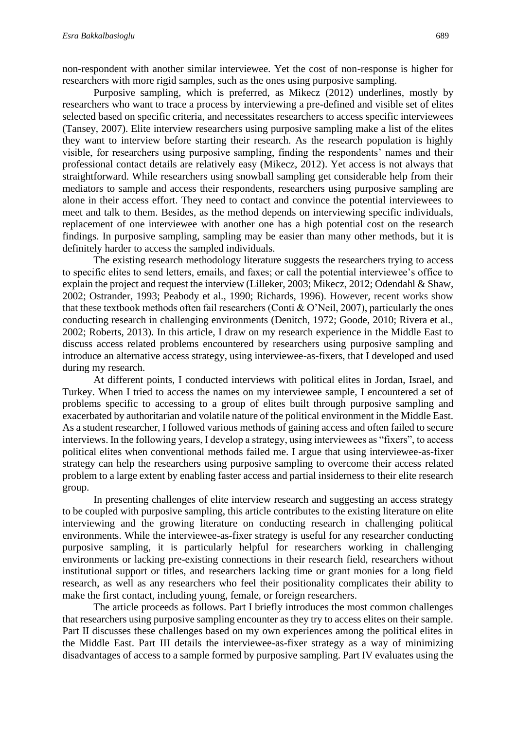non-respondent with another similar interviewee. Yet the cost of non-response is higher for researchers with more rigid samples, such as the ones using purposive sampling.

Purposive sampling, which is preferred, as Mikecz (2012) underlines, mostly by researchers who want to trace a process by interviewing a pre-defined and visible set of elites selected based on specific criteria, and necessitates researchers to access specific interviewees (Tansey, 2007). Elite interview researchers using purposive sampling make a list of the elites they want to interview before starting their research. As the research population is highly visible, for researchers using purposive sampling, finding the respondents' names and their professional contact details are relatively easy (Mikecz, 2012). Yet access is not always that straightforward. While researchers using snowball sampling get considerable help from their mediators to sample and access their respondents, researchers using purposive sampling are alone in their access effort. They need to contact and convince the potential interviewees to meet and talk to them. Besides, as the method depends on interviewing specific individuals, replacement of one interviewee with another one has a high potential cost on the research findings. In purposive sampling, sampling may be easier than many other methods, but it is definitely harder to access the sampled individuals.

The existing research methodology literature suggests the researchers trying to access to specific elites to send letters, emails, and faxes; or call the potential interviewee's office to explain the project and request the interview (Lilleker, 2003; Mikecz, 2012; Odendahl & Shaw, 2002; Ostrander, 1993; Peabody et al., 1990; Richards, 1996). However, recent works show that these textbook methods often fail researchers (Conti & O'Neil, 2007), particularly the ones conducting research in challenging environments (Denitch, 1972; Goode, 2010; Rivera et al., 2002; Roberts, 2013). In this article, I draw on my research experience in the Middle East to discuss access related problems encountered by researchers using purposive sampling and introduce an alternative access strategy, using interviewee-as-fixers, that I developed and used during my research.

At different points, I conducted interviews with political elites in Jordan, Israel, and Turkey. When I tried to access the names on my interviewee sample, I encountered a set of problems specific to accessing to a group of elites built through purposive sampling and exacerbated by authoritarian and volatile nature of the political environment in the Middle East. As a student researcher, I followed various methods of gaining access and often failed to secure interviews. In the following years, I develop a strategy, using interviewees as "fixers", to access political elites when conventional methods failed me. I argue that using interviewee-as-fixer strategy can help the researchers using purposive sampling to overcome their access related problem to a large extent by enabling faster access and partial insiderness to their elite research group.

In presenting challenges of elite interview research and suggesting an access strategy to be coupled with purposive sampling, this article contributes to the existing literature on elite interviewing and the growing literature on conducting research in challenging political environments. While the interviewee-as-fixer strategy is useful for any researcher conducting purposive sampling, it is particularly helpful for researchers working in challenging environments or lacking pre-existing connections in their research field, researchers without institutional support or titles, and researchers lacking time or grant monies for a long field research, as well as any researchers who feel their positionality complicates their ability to make the first contact, including young, female, or foreign researchers.

The article proceeds as follows. Part I briefly introduces the most common challenges that researchers using purposive sampling encounter as they try to access elites on their sample. Part II discusses these challenges based on my own experiences among the political elites in the Middle East. Part III details the interviewee-as-fixer strategy as a way of minimizing disadvantages of access to a sample formed by purposive sampling. Part IV evaluates using the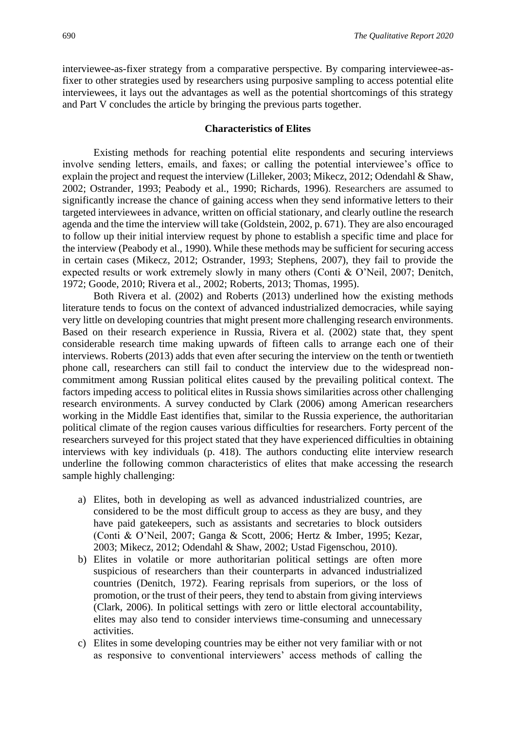interviewee-as-fixer strategy from a comparative perspective. By comparing interviewee-asfixer to other strategies used by researchers using purposive sampling to access potential elite interviewees, it lays out the advantages as well as the potential shortcomings of this strategy and Part V concludes the article by bringing the previous parts together.

#### **Characteristics of Elites**

Existing methods for reaching potential elite respondents and securing interviews involve sending letters, emails, and faxes; or calling the potential interviewee's office to explain the project and request the interview (Lilleker, 2003; Mikecz, 2012; Odendahl & Shaw, 2002; Ostrander, 1993; Peabody et al., 1990; Richards, 1996). Researchers are assumed to significantly increase the chance of gaining access when they send informative letters to their targeted interviewees in advance, written on official stationary, and clearly outline the research agenda and the time the interview will take (Goldstein, 2002, p. 671). They are also encouraged to follow up their initial interview request by phone to establish a specific time and place for the interview (Peabody et al., 1990). While these methods may be sufficient for securing access in certain cases (Mikecz, 2012; Ostrander, 1993; Stephens, 2007), they fail to provide the expected results or work extremely slowly in many others (Conti & O'Neil, 2007; Denitch, 1972; Goode, 2010; Rivera et al., 2002; Roberts, 2013; Thomas, 1995).

Both Rivera et al. (2002) and Roberts (2013) underlined how the existing methods literature tends to focus on the context of advanced industrialized democracies, while saying very little on developing countries that might present more challenging research environments. Based on their research experience in Russia, Rivera et al. (2002) state that, they spent considerable research time making upwards of fifteen calls to arrange each one of their interviews. Roberts (2013) adds that even after securing the interview on the tenth or twentieth phone call, researchers can still fail to conduct the interview due to the widespread noncommitment among Russian political elites caused by the prevailing political context. The factors impeding access to political elites in Russia shows similarities across other challenging research environments. A survey conducted by Clark (2006) among American researchers working in the Middle East identifies that, similar to the Russia experience, the authoritarian political climate of the region causes various difficulties for researchers. Forty percent of the researchers surveyed for this project stated that they have experienced difficulties in obtaining interviews with key individuals (p. 418). The authors conducting elite interview research underline the following common characteristics of elites that make accessing the research sample highly challenging:

- a) Elites, both in developing as well as advanced industrialized countries, are considered to be the most difficult group to access as they are busy, and they have paid gatekeepers, such as assistants and secretaries to block outsiders (Conti & O'Neil, 2007; Ganga & Scott, 2006; Hertz & Imber, 1995; Kezar, 2003; Mikecz, 2012; Odendahl & Shaw, 2002; Ustad Figenschou, 2010).
- b) Elites in volatile or more authoritarian political settings are often more suspicious of researchers than their counterparts in advanced industrialized countries (Denitch, 1972). Fearing reprisals from superiors, or the loss of promotion, or the trust of their peers, they tend to abstain from giving interviews (Clark, 2006). In political settings with zero or little electoral accountability, elites may also tend to consider interviews time-consuming and unnecessary activities.
- c) Elites in some developing countries may be either not very familiar with or not as responsive to conventional interviewers' access methods of calling the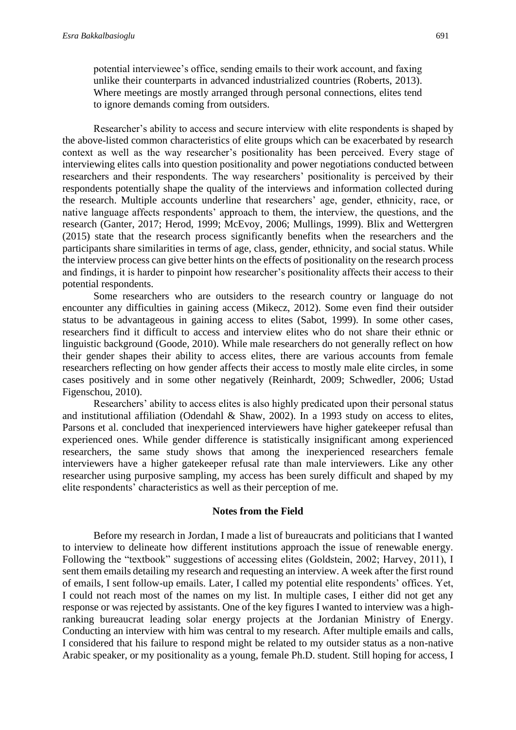to ignore demands coming from outsiders.

Researcher's ability to access and secure interview with elite respondents is shaped by the above-listed common characteristics of elite groups which can be exacerbated by research context as well as the way researcher's positionality has been perceived. Every stage of interviewing elites calls into question positionality and power negotiations conducted between researchers and their respondents. The way researchers' positionality is perceived by their respondents potentially shape the quality of the interviews and information collected during the research. Multiple accounts underline that researchers' age, gender, ethnicity, race, or native language affects respondents' approach to them, the interview, the questions, and the research (Ganter, 2017; Herod, 1999; McEvoy, 2006; Mullings, 1999). Blix and Wettergren (2015) state that the research process significantly benefits when the researchers and the participants share similarities in terms of age, class, gender, ethnicity, and social status. While the interview process can give better hints on the effects of positionality on the research process and findings, it is harder to pinpoint how researcher's positionality affects their access to their potential respondents.

Some researchers who are outsiders to the research country or language do not encounter any difficulties in gaining access (Mikecz, 2012). Some even find their outsider status to be advantageous in gaining access to elites (Sabot, 1999). In some other cases, researchers find it difficult to access and interview elites who do not share their ethnic or linguistic background (Goode, 2010). While male researchers do not generally reflect on how their gender shapes their ability to access elites, there are various accounts from female researchers reflecting on how gender affects their access to mostly male elite circles, in some cases positively and in some other negatively (Reinhardt, 2009; Schwedler, 2006; Ustad Figenschou, 2010).

Researchers' ability to access elites is also highly predicated upon their personal status and institutional affiliation (Odendahl & Shaw, 2002). In a 1993 study on access to elites, Parsons et al. concluded that inexperienced interviewers have higher gatekeeper refusal than experienced ones. While gender difference is statistically insignificant among experienced researchers, the same study shows that among the inexperienced researchers female interviewers have a higher gatekeeper refusal rate than male interviewers. Like any other researcher using purposive sampling, my access has been surely difficult and shaped by my elite respondents' characteristics as well as their perception of me.

#### **Notes from the Field**

Before my research in Jordan, I made a list of bureaucrats and politicians that I wanted to interview to delineate how different institutions approach the issue of renewable energy. Following the "textbook" suggestions of accessing elites (Goldstein, 2002; Harvey, 2011), I sent them emails detailing my research and requesting an interview. A week after the first round of emails, I sent follow-up emails. Later, I called my potential elite respondents' offices. Yet, I could not reach most of the names on my list. In multiple cases, I either did not get any response or was rejected by assistants. One of the key figures I wanted to interview was a highranking bureaucrat leading solar energy projects at the Jordanian Ministry of Energy. Conducting an interview with him was central to my research. After multiple emails and calls, I considered that his failure to respond might be related to my outsider status as a non-native Arabic speaker, or my positionality as a young, female Ph.D. student. Still hoping for access, I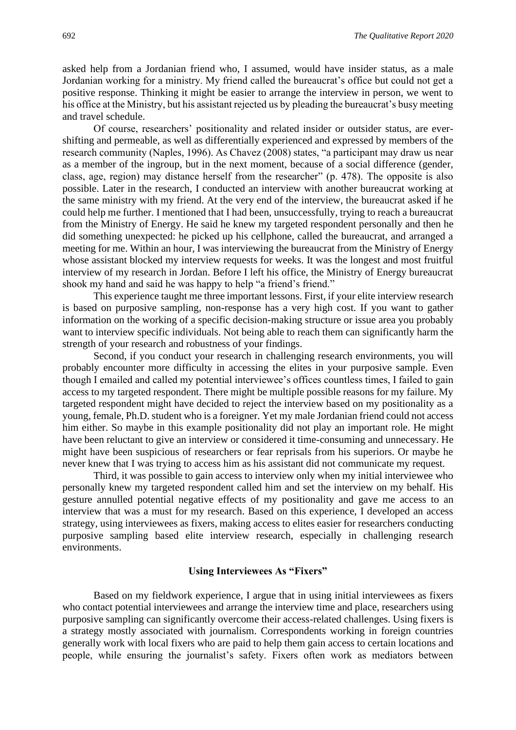asked help from a Jordanian friend who, I assumed, would have insider status, as a male Jordanian working for a ministry. My friend called the bureaucrat's office but could not get a positive response. Thinking it might be easier to arrange the interview in person, we went to his office at the Ministry, but his assistant rejected us by pleading the bureaucrat's busy meeting and travel schedule.

Of course, researchers' positionality and related insider or outsider status, are evershifting and permeable, as well as differentially experienced and expressed by members of the research community (Naples, 1996). As Chavez (2008) states, "a participant may draw us near as a member of the ingroup, but in the next moment, because of a social difference (gender, class, age, region) may distance herself from the researcher" (p. 478). The opposite is also possible. Later in the research, I conducted an interview with another bureaucrat working at the same ministry with my friend. At the very end of the interview, the bureaucrat asked if he could help me further. I mentioned that I had been, unsuccessfully, trying to reach a bureaucrat from the Ministry of Energy. He said he knew my targeted respondent personally and then he did something unexpected: he picked up his cellphone, called the bureaucrat, and arranged a meeting for me. Within an hour, I was interviewing the bureaucrat from the Ministry of Energy whose assistant blocked my interview requests for weeks. It was the longest and most fruitful interview of my research in Jordan. Before I left his office, the Ministry of Energy bureaucrat shook my hand and said he was happy to help "a friend's friend."

This experience taught me three important lessons. First, if your elite interview research is based on purposive sampling, non-response has a very high cost. If you want to gather information on the working of a specific decision-making structure or issue area you probably want to interview specific individuals. Not being able to reach them can significantly harm the strength of your research and robustness of your findings.

Second, if you conduct your research in challenging research environments, you will probably encounter more difficulty in accessing the elites in your purposive sample. Even though I emailed and called my potential interviewee's offices countless times, I failed to gain access to my targeted respondent. There might be multiple possible reasons for my failure. My targeted respondent might have decided to reject the interview based on my positionality as a young, female, Ph.D. student who is a foreigner. Yet my male Jordanian friend could not access him either. So maybe in this example positionality did not play an important role. He might have been reluctant to give an interview or considered it time-consuming and unnecessary. He might have been suspicious of researchers or fear reprisals from his superiors. Or maybe he never knew that I was trying to access him as his assistant did not communicate my request.

Third, it was possible to gain access to interview only when my initial interviewee who personally knew my targeted respondent called him and set the interview on my behalf. His gesture annulled potential negative effects of my positionality and gave me access to an interview that was a must for my research. Based on this experience, I developed an access strategy, using interviewees as fixers, making access to elites easier for researchers conducting purposive sampling based elite interview research, especially in challenging research environments.

#### **Using Interviewees As "Fixers"**

Based on my fieldwork experience, I argue that in using initial interviewees as fixers who contact potential interviewees and arrange the interview time and place, researchers using purposive sampling can significantly overcome their access-related challenges. Using fixers is a strategy mostly associated with journalism. Correspondents working in foreign countries generally work with local fixers who are paid to help them gain access to certain locations and people, while ensuring the journalist's safety. Fixers often work as mediators between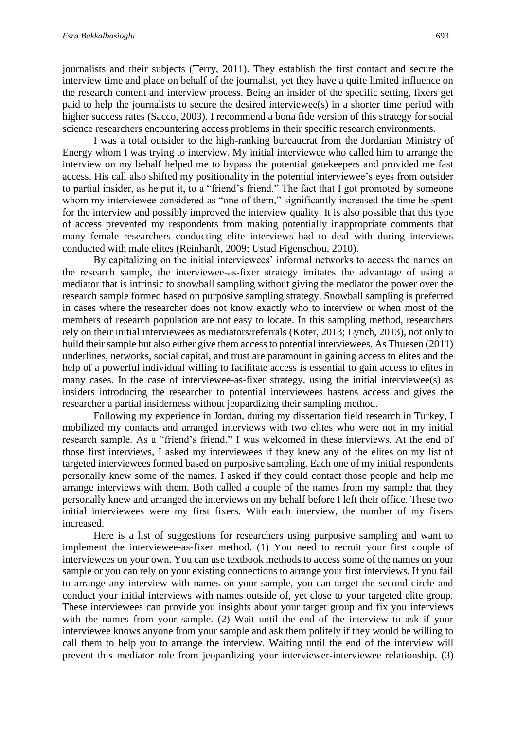journalists and their subjects (Terry, 2011). They establish the first contact and secure the interview time and place on behalf of the journalist, yet they have a quite limited influence on the research content and interview process. Being an insider of the specific setting, fixers get paid to help the journalists to secure the desired interviewee(s) in a shorter time period with higher success rates (Sacco, 2003). I recommend a bona fide version of this strategy for social science researchers encountering access problems in their specific research environments.

I was a total outsider to the high-ranking bureaucrat from the Jordanian Ministry of Energy whom I was trying to interview. My initial interviewee who called him to arrange the interview on my behalf helped me to bypass the potential gatekeepers and provided me fast access. His call also shifted my positionality in the potential interviewee's eyes from outsider to partial insider, as he put it, to a "friend's friend." The fact that I got promoted by someone whom my interviewee considered as "one of them," significantly increased the time he spent for the interview and possibly improved the interview quality. It is also possible that this type of access prevented my respondents from making potentially inappropriate comments that many female researchers conducting elite interviews had to deal with during interviews conducted with male elites (Reinhardt, 2009; Ustad Figenschou, 2010).

By capitalizing on the initial interviewees' informal networks to access the names on the research sample, the interviewee-as-fixer strategy imitates the advantage of using a mediator that is intrinsic to snowball sampling without giving the mediator the power over the research sample formed based on purposive sampling strategy. Snowball sampling is preferred in cases where the researcher does not know exactly who to interview or when most of the members of research population are not easy to locate. In this sampling method, researchers rely on their initial interviewees as mediators/referrals (Koter, 2013; Lynch, 2013), not only to build their sample but also either give them access to potential interviewees. As Thuesen (2011) underlines, networks, social capital, and trust are paramount in gaining access to elites and the help of a powerful individual willing to facilitate access is essential to gain access to elites in many cases. In the case of interviewee-as-fixer strategy, using the initial interviewee(s) as insiders introducing the researcher to potential interviewees hastens access and gives the researcher a partial insiderness without jeopardizing their sampling method.

Following my experience in Jordan, during my dissertation field research in Turkey, I mobilized my contacts and arranged interviews with two elites who were not in my initial research sample. As a "friend's friend," I was welcomed in these interviews. At the end of those first interviews, I asked my interviewees if they knew any of the elites on my list of targeted interviewees formed based on purposive sampling. Each one of my initial respondents personally knew some of the names. I asked if they could contact those people and help me arrange interviews with them. Both called a couple of the names from my sample that they personally knew and arranged the interviews on my behalf before I left their office. These two initial interviewees were my first fixers. With each interview, the number of my fixers increased.

Here is a list of suggestions for researchers using purposive sampling and want to implement the interviewee-as-fixer method. (1) You need to recruit your first couple of interviewees on your own. You can use textbook methods to access some of the names on your sample or you can rely on your existing connections to arrange your first interviews. If you fail to arrange any interview with names on your sample, you can target the second circle and conduct your initial interviews with names outside of, yet close to your targeted elite group. These interviewees can provide you insights about your target group and fix you interviews with the names from your sample. (2) Wait until the end of the interview to ask if your interviewee knows anyone from your sample and ask them politely if they would be willing to call them to help you to arrange the interview. Waiting until the end of the interview will prevent this mediator role from jeopardizing your interviewer-interviewee relationship. (3)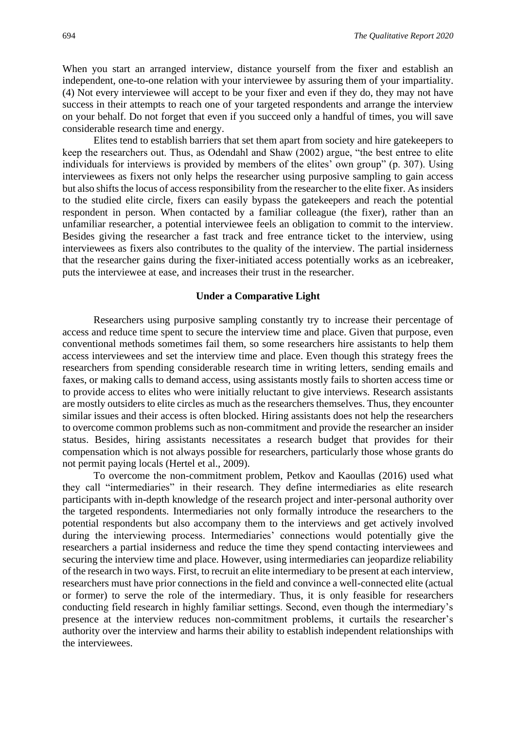When you start an arranged interview, distance yourself from the fixer and establish an independent, one-to-one relation with your interviewee by assuring them of your impartiality. (4) Not every interviewee will accept to be your fixer and even if they do, they may not have success in their attempts to reach one of your targeted respondents and arrange the interview on your behalf. Do not forget that even if you succeed only a handful of times, you will save considerable research time and energy.

Elites tend to establish barriers that set them apart from society and hire gatekeepers to keep the researchers out. Thus, as Odendahl and Shaw (2002) argue, "the best entree to elite individuals for interviews is provided by members of the elites' own group" (p. 307). Using interviewees as fixers not only helps the researcher using purposive sampling to gain access but also shifts the locus of access responsibility from the researcher to the elite fixer. As insiders to the studied elite circle, fixers can easily bypass the gatekeepers and reach the potential respondent in person. When contacted by a familiar colleague (the fixer), rather than an unfamiliar researcher, a potential interviewee feels an obligation to commit to the interview. Besides giving the researcher a fast track and free entrance ticket to the interview, using interviewees as fixers also contributes to the quality of the interview. The partial insiderness that the researcher gains during the fixer-initiated access potentially works as an icebreaker, puts the interviewee at ease, and increases their trust in the researcher.

#### **Under a Comparative Light**

Researchers using purposive sampling constantly try to increase their percentage of access and reduce time spent to secure the interview time and place. Given that purpose, even conventional methods sometimes fail them, so some researchers hire assistants to help them access interviewees and set the interview time and place. Even though this strategy frees the researchers from spending considerable research time in writing letters, sending emails and faxes, or making calls to demand access, using assistants mostly fails to shorten access time or to provide access to elites who were initially reluctant to give interviews. Research assistants are mostly outsiders to elite circles as much as the researchers themselves. Thus, they encounter similar issues and their access is often blocked. Hiring assistants does not help the researchers to overcome common problems such as non-commitment and provide the researcher an insider status. Besides, hiring assistants necessitates a research budget that provides for their compensation which is not always possible for researchers, particularly those whose grants do not permit paying locals (Hertel et al., 2009).

To overcome the non-commitment problem, Petkov and Kaoullas (2016) used what they call "intermediaries" in their research. They define intermediaries as elite research participants with in-depth knowledge of the research project and inter-personal authority over the targeted respondents. Intermediaries not only formally introduce the researchers to the potential respondents but also accompany them to the interviews and get actively involved during the interviewing process. Intermediaries' connections would potentially give the researchers a partial insiderness and reduce the time they spend contacting interviewees and securing the interview time and place. However, using intermediaries can jeopardize reliability of the research in two ways. First, to recruit an elite intermediary to be present at each interview, researchers must have prior connections in the field and convince a well-connected elite (actual or former) to serve the role of the intermediary. Thus, it is only feasible for researchers conducting field research in highly familiar settings. Second, even though the intermediary's presence at the interview reduces non-commitment problems, it curtails the researcher's authority over the interview and harms their ability to establish independent relationships with the interviewees.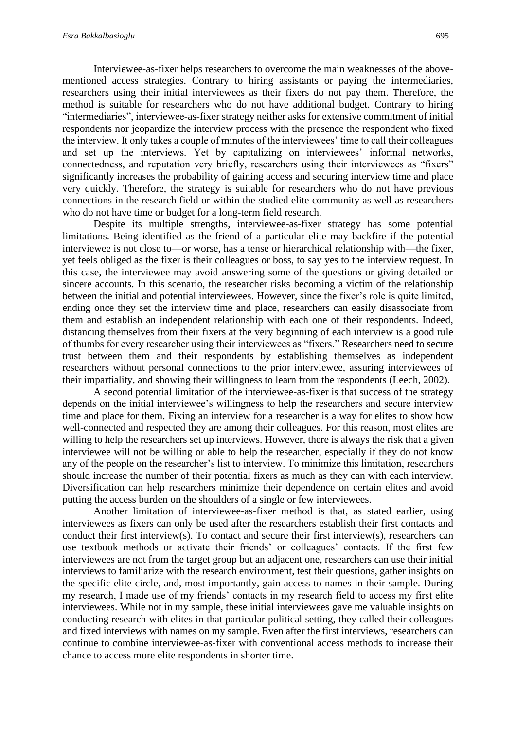Interviewee-as-fixer helps researchers to overcome the main weaknesses of the abovementioned access strategies. Contrary to hiring assistants or paying the intermediaries, researchers using their initial interviewees as their fixers do not pay them. Therefore, the method is suitable for researchers who do not have additional budget. Contrary to hiring "intermediaries", interviewee-as-fixer strategy neither asks for extensive commitment of initial respondents nor jeopardize the interview process with the presence the respondent who fixed the interview. It only takes a couple of minutes of the interviewees' time to call their colleagues and set up the interviews. Yet by capitalizing on interviewees' informal networks, connectedness, and reputation very briefly, researchers using their interviewees as "fixers" significantly increases the probability of gaining access and securing interview time and place very quickly. Therefore, the strategy is suitable for researchers who do not have previous connections in the research field or within the studied elite community as well as researchers who do not have time or budget for a long-term field research.

Despite its multiple strengths, interviewee-as-fixer strategy has some potential limitations. Being identified as the friend of a particular elite may backfire if the potential interviewee is not close to—or worse, has a tense or hierarchical relationship with—the fixer, yet feels obliged as the fixer is their colleagues or boss, to say yes to the interview request. In this case, the interviewee may avoid answering some of the questions or giving detailed or sincere accounts. In this scenario, the researcher risks becoming a victim of the relationship between the initial and potential interviewees. However, since the fixer's role is quite limited, ending once they set the interview time and place, researchers can easily disassociate from them and establish an independent relationship with each one of their respondents. Indeed, distancing themselves from their fixers at the very beginning of each interview is a good rule of thumbs for every researcher using their interviewees as "fixers." Researchers need to secure trust between them and their respondents by establishing themselves as independent researchers without personal connections to the prior interviewee, assuring interviewees of their impartiality, and showing their willingness to learn from the respondents (Leech, 2002).

A second potential limitation of the interviewee-as-fixer is that success of the strategy depends on the initial interviewee's willingness to help the researchers and secure interview time and place for them. Fixing an interview for a researcher is a way for elites to show how well-connected and respected they are among their colleagues. For this reason, most elites are willing to help the researchers set up interviews. However, there is always the risk that a given interviewee will not be willing or able to help the researcher, especially if they do not know any of the people on the researcher's list to interview. To minimize this limitation, researchers should increase the number of their potential fixers as much as they can with each interview. Diversification can help researchers minimize their dependence on certain elites and avoid putting the access burden on the shoulders of a single or few interviewees.

Another limitation of interviewee-as-fixer method is that, as stated earlier, using interviewees as fixers can only be used after the researchers establish their first contacts and conduct their first interview(s). To contact and secure their first interview(s), researchers can use textbook methods or activate their friends' or colleagues' contacts. If the first few interviewees are not from the target group but an adjacent one, researchers can use their initial interviews to familiarize with the research environment, test their questions, gather insights on the specific elite circle, and, most importantly, gain access to names in their sample. During my research, I made use of my friends' contacts in my research field to access my first elite interviewees. While not in my sample, these initial interviewees gave me valuable insights on conducting research with elites in that particular political setting, they called their colleagues and fixed interviews with names on my sample. Even after the first interviews, researchers can continue to combine interviewee-as-fixer with conventional access methods to increase their chance to access more elite respondents in shorter time.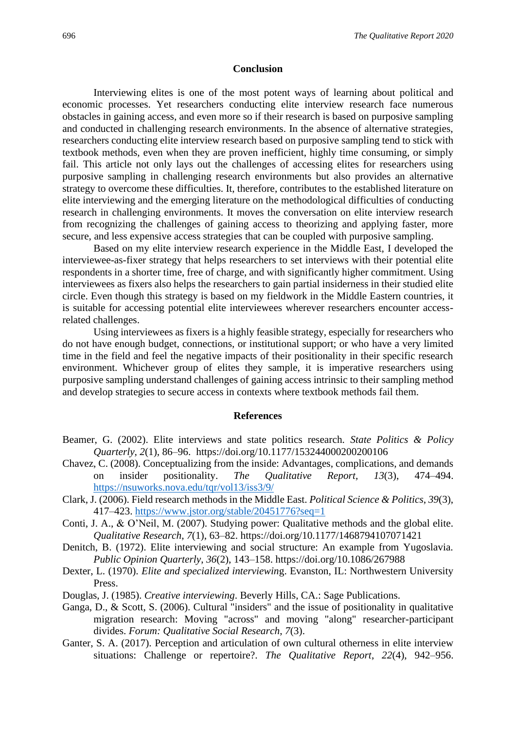#### **Conclusion**

Interviewing elites is one of the most potent ways of learning about political and economic processes. Yet researchers conducting elite interview research face numerous obstacles in gaining access, and even more so if their research is based on purposive sampling and conducted in challenging research environments. In the absence of alternative strategies, researchers conducting elite interview research based on purposive sampling tend to stick with textbook methods, even when they are proven inefficient, highly time consuming, or simply fail. This article not only lays out the challenges of accessing elites for researchers using purposive sampling in challenging research environments but also provides an alternative strategy to overcome these difficulties. It, therefore, contributes to the established literature on elite interviewing and the emerging literature on the methodological difficulties of conducting research in challenging environments. It moves the conversation on elite interview research from recognizing the challenges of gaining access to theorizing and applying faster, more secure, and less expensive access strategies that can be coupled with purposive sampling.

Based on my elite interview research experience in the Middle East, I developed the interviewee-as-fixer strategy that helps researchers to set interviews with their potential elite respondents in a shorter time, free of charge, and with significantly higher commitment. Using interviewees as fixers also helps the researchers to gain partial insiderness in their studied elite circle. Even though this strategy is based on my fieldwork in the Middle Eastern countries, it is suitable for accessing potential elite interviewees wherever researchers encounter accessrelated challenges.

Using interviewees as fixers is a highly feasible strategy, especially for researchers who do not have enough budget, connections, or institutional support; or who have a very limited time in the field and feel the negative impacts of their positionality in their specific research environment. Whichever group of elites they sample, it is imperative researchers using purposive sampling understand challenges of gaining access intrinsic to their sampling method and develop strategies to secure access in contexts where textbook methods fail them.

#### **References**

- Beamer, G. (2002). Elite interviews and state politics research. *State Politics & Policy Quarterly, 2*(1), 86–96. https://doi.org/10.1177/153244000200200106
- Chavez, C. (2008). Conceptualizing from the inside: Advantages, complications, and demands on insider positionality. *The Qualitative Report, 13*(3), 474–494. <https://nsuworks.nova.edu/tqr/vol13/iss3/9/>
- Clark, J. (2006). Field research methods in the Middle East. *Political Science & Politics*, *39*(3), 417–423.<https://www.jstor.org/stable/20451776?seq=1>
- Conti, J. A., & O'Neil, M. (2007). Studying power: Qualitative methods and the global elite. *Qualitative Research*, *7*(1), 63–82. https://doi.org/10.1177/1468794107071421
- Denitch, B. (1972). Elite interviewing and social structure: An example from Yugoslavia. *Public Opinion Quarterly*, *36*(2), 143–158. https://doi.org/10.1086/267988
- Dexter, L. (1970). *Elite and specialized interviewin*g. Evanston, IL: Northwestern University Press.
- Douglas, J. (1985). *Creative interviewing*. Beverly Hills, CA.: Sage Publications.
- Ganga, D., & Scott, S. (2006). Cultural "insiders" and the issue of positionality in qualitative migration research: Moving "across" and moving "along" researcher-participant divides. *Forum: Qualitative Social Research*, *7*(3).
- Ganter, S. A. (2017). Perception and articulation of own cultural otherness in elite interview situations: Challenge or repertoire?. *The Qualitative Report*, *22*(4), 942–956.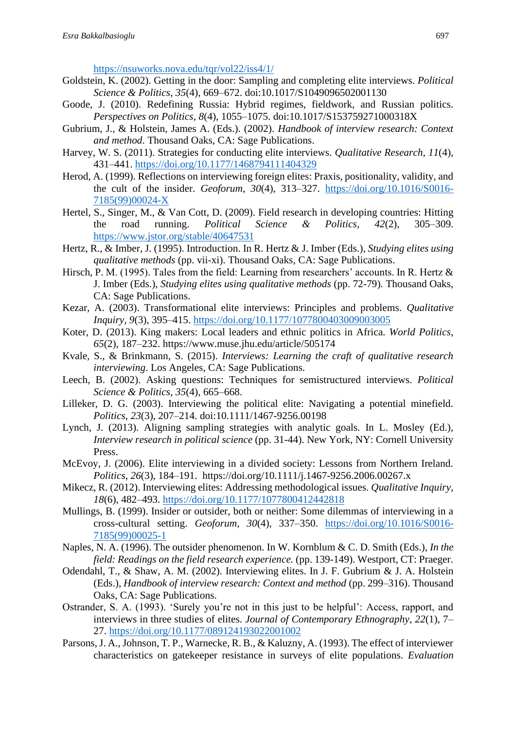<https://nsuworks.nova.edu/tqr/vol22/iss4/1/>

- Goldstein, K. (2002). Getting in the door: Sampling and completing elite interviews. *Political Science & Politics*, *35*(4), 669–672. doi:10.1017/S1049096502001130
- Goode, J. (2010). Redefining Russia: Hybrid regimes, fieldwork, and Russian politics. *Perspectives on Politics*, *8*(4), 1055–1075. doi:10.1017/S153759271000318X
- Gubrium, J., & Holstein, James A. (Eds.). (2002). *Handbook of interview research: Context and method*. Thousand Oaks, CA: Sage Publications.
- Harvey, W. S. (2011). Strategies for conducting elite interviews. *Qualitative Research*, *11*(4), 431–441.<https://doi.org/10.1177/1468794111404329>
- Herod, A. (1999). Reflections on interviewing foreign elites: Praxis, positionality, validity, and the cult of the insider. *Geoforum*, *30*(4), 313–327. [https://doi.org/10.1016/S0016-](https://doi.org/10.1016/S0016-7185(99)00024-X) [7185\(99\)00024-X](https://doi.org/10.1016/S0016-7185(99)00024-X)
- Hertel, S., Singer, M., & Van Cott, D. (2009). Field research in developing countries: Hitting the road running. *Political Science & Politics*, *42*(2), 305–309. <https://www.jstor.org/stable/40647531>
- Hertz, R., & Imber, J. (1995). Introduction. In R. Hertz & J. Imber (Eds.), *Studying elites using qualitative methods* (pp. vii-xi). Thousand Oaks, CA: Sage Publications.
- Hirsch, P. M. (1995). Tales from the field: Learning from researchers' accounts. In R. Hertz & J. Imber (Eds.), *Studying elites using qualitative methods* (pp. 72-79)*.* Thousand Oaks, CA: Sage Publications.
- Kezar, A. (2003). Transformational elite interviews: Principles and problems. *Qualitative Inquiry*, *9*(3), 395–415.<https://doi.org/10.1177/1077800403009003005>
- Koter, D. (2013). King makers: Local leaders and ethnic politics in Africa. *World Politics*, *65*(2), 187–232. https://www.muse.jhu.edu/article/505174
- Kvale, S., & Brinkmann, S. (2015). *Interviews: Learning the craft of qualitative research interviewing*. Los Angeles, CA: Sage Publications.
- Leech, B. (2002). Asking questions: Techniques for semistructured interviews. *Political Science & Politics*, *35*(4), 665–668.
- Lilleker, D. G. (2003). Interviewing the political elite: Navigating a potential minefield. *Politics*, *23*(3), 207–214. doi:10.1111/1467-9256.00198
- Lynch, J. (2013). Aligning sampling strategies with analytic goals. In L. Mosley (Ed.), *Interview research in political science* (pp. 31-44). New York, NY: Cornell University Press.
- McEvoy, J. (2006). Elite interviewing in a divided society: Lessons from Northern Ireland. *Politics*, *26*(3), 184–191. https://doi.org/10.1111/j.1467-9256.2006.00267.x
- Mikecz, R. (2012). Interviewing elites: Addressing methodological issues. *Qualitative Inquiry*, *18*(6), 482–493.<https://doi.org/10.1177/1077800412442818>
- Mullings, B. (1999). Insider or outsider, both or neither: Some dilemmas of interviewing in a cross-cultural setting. *Geoforum*, *30*(4), 337–350. [https://doi.org/10.1016/S0016-](https://doi.org/10.1016/S0016-7185(99)00025-1) [7185\(99\)00025-1](https://doi.org/10.1016/S0016-7185(99)00025-1)
- Naples, N. A. (1996). The outsider phenomenon. In W. Kornblum & C. D. Smith (Eds.), *In the*  field: Readings on the field research experience. (pp. 139-149). Westport, CT: Praeger.
- Odendahl, T., & Shaw, A. M. (2002). Interviewing elites. In J. F. Gubrium & J. A. Holstein (Eds.), *Handbook of interview research: Context and method* (pp. 299–316). Thousand Oaks, CA: Sage Publications.
- Ostrander, S. A. (1993). 'Surely you're not in this just to be helpful': Access, rapport, and interviews in three studies of elites. *Journal of Contemporary Ethnography*, *22*(1), 7– 27.<https://doi.org/10.1177/089124193022001002>
- Parsons, J. A., Johnson, T. P., Warnecke, R. B., & Kaluzny, A. (1993). The effect of interviewer characteristics on gatekeeper resistance in surveys of elite populations. *Evaluation*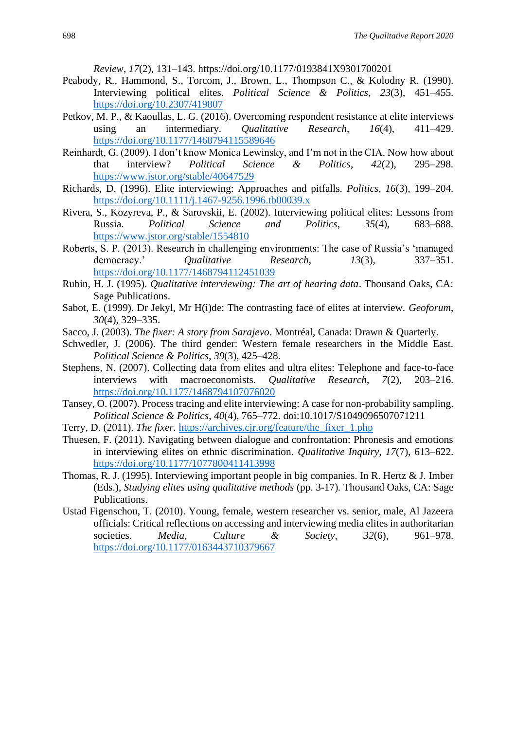*Review*, *17*(2), 131–143. https://doi.org/10.1177/0193841X9301700201

- Peabody, R., Hammond, S., Torcom, J., Brown, L., Thompson C., & Kolodny R. (1990). Interviewing political elites. *Political Science & Politics*, *23*(3), 451–455. <https://doi.org/10.2307/419807>
- Petkov, M. P., & Kaoullas, L. G. (2016). Overcoming respondent resistance at elite interviews using an intermediary. *Qualitative Research*, *16*(4), 411–429. <https://doi.org/10.1177/1468794115589646>
- Reinhardt, G. (2009). I don't know Monica Lewinsky, and I'm not in the CIA. Now how about that interview? *Political Science & Politics*, *42*(2), 295–298. <https://www.jstor.org/stable/40647529>
- Richards, D. (1996). Elite interviewing: Approaches and pitfalls. *Politics*, *16*(3), 199–204. <https://doi.org/10.1111/j.1467-9256.1996.tb00039.x>
- Rivera, S., Kozyreva, P., & Sarovskii, E. (2002). Interviewing political elites: Lessons from Russia. *Political Science and Politics*, *35*(4), 683–688. <https://www.jstor.org/stable/1554810>
- Roberts, S. P. (2013). Research in challenging environments: The case of Russia's 'managed democracy.' *Qualitative Research*, *13*(3), 337–351. <https://doi.org/10.1177/1468794112451039>
- Rubin, H. J. (1995). *Qualitative interviewing: The art of hearing data*. Thousand Oaks, CA: Sage Publications.
- Sabot, E. (1999). Dr Jekyl, Mr H(i)de: The contrasting face of elites at interview. *Geoforum*, *30*(4), 329–335.
- Sacco, J. (2003). *The fixer: A story from Sarajevo*. Montréal, Canada: Drawn & Quarterly.
- Schwedler, J. (2006). The third gender: Western female researchers in the Middle East. *Political Science & Politics*, *39*(3), 425–428.
- Stephens, N. (2007). Collecting data from elites and ultra elites: Telephone and face-to-face interviews with macroeconomists. *Qualitative Research*, *7*(2), 203–216. <https://doi.org/10.1177/1468794107076020>
- Tansey, O. (2007). Process tracing and elite interviewing: A case for non-probability sampling. *Political Science & Politics*, *40*(4), 765–772. doi:10.1017/S1049096507071211
- Terry, D. (2011). *The fixer.* [https://archives.cjr.org/feature/the\\_fixer\\_1.php](https://archives.cjr.org/feature/the_fixer_1.php)
- Thuesen, F. (2011). Navigating between dialogue and confrontation: Phronesis and emotions in interviewing elites on ethnic discrimination. *Qualitative Inquiry*, *17*(7), 613–622. <https://doi.org/10.1177/1077800411413998>
- Thomas, R. J. (1995). Interviewing important people in big companies. In R. Hertz & J. Imber (Eds.), *Studying elites using qualitative methods* (pp. 3-17)*.* Thousand Oaks, CA: Sage Publications.
- Ustad Figenschou, T. (2010). Young, female, western researcher vs. senior, male, Al Jazeera officials: Critical reflections on accessing and interviewing media elites in authoritarian societies. *Media, Culture & Society*, *32*(6), 961–978. <https://doi.org/10.1177/0163443710379667>